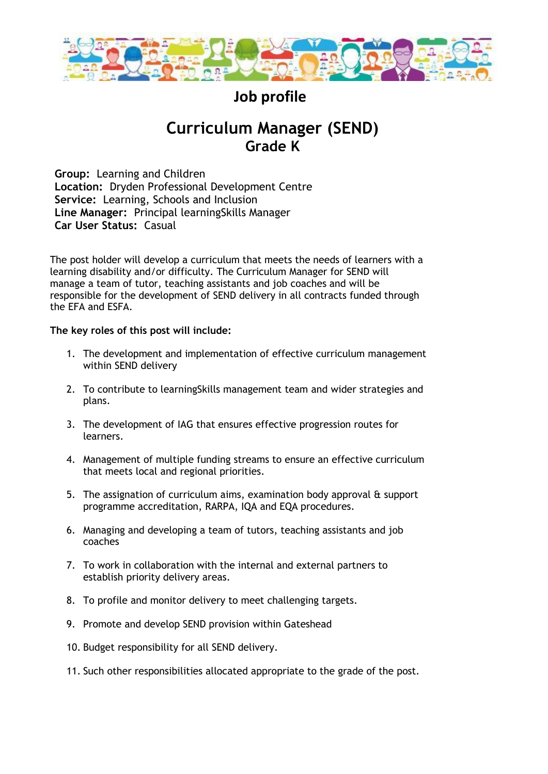

# **Job profile**

# **Curriculum Manager (SEND) Grade K**

**Group:** Learning and Children **Location:** Dryden Professional Development Centre **Service:** Learning, Schools and Inclusion **Line Manager:** Principal learningSkills Manager **Car User Status:** Casual

The post holder will develop a curriculum that meets the needs of learners with a learning disability and/or difficulty. The Curriculum Manager for SEND will manage a team of tutor, teaching assistants and job coaches and will be responsible for the development of SEND delivery in all contracts funded through the EFA and ESFA.

### **The key roles of this post will include:**

- 1. The development and implementation of effective curriculum management within SEND delivery
- 2. To contribute to learningSkills management team and wider strategies and plans.
- 3. The development of IAG that ensures effective progression routes for learners.
- 4. Management of multiple funding streams to ensure an effective curriculum that meets local and regional priorities.
- 5. The assignation of curriculum aims, examination body approval & support programme accreditation, RARPA, IQA and EQA procedures.
- 6. Managing and developing a team of tutors, teaching assistants and job coaches
- 7. To work in collaboration with the internal and external partners to establish priority delivery areas.
- 8. To profile and monitor delivery to meet challenging targets.
- 9. Promote and develop SEND provision within Gateshead
- 10. Budget responsibility for all SEND delivery.
- 11. Such other responsibilities allocated appropriate to the grade of the post.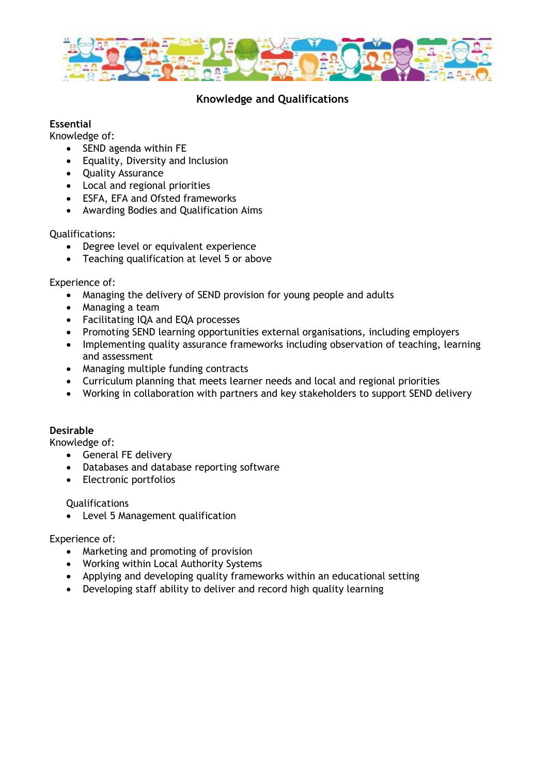

## **Knowledge and Qualifications**

### **Essential**

Knowledge of:

- SEND agenda within FE
- Equality, Diversity and Inclusion
- Quality Assurance
- Local and regional priorities
- ESFA, EFA and Ofsted frameworks
- Awarding Bodies and Qualification Aims

Qualifications:

- Degree level or equivalent experience
- Teaching qualification at level 5 or above

Experience of:

- Managing the delivery of SEND provision for young people and adults
- Managing a team
- Facilitating IQA and EQA processes
- Promoting SEND learning opportunities external organisations, including employers
- Implementing quality assurance frameworks including observation of teaching, learning and assessment
- Managing multiple funding contracts
- Curriculum planning that meets learner needs and local and regional priorities
- Working in collaboration with partners and key stakeholders to support SEND delivery

### **Desirable**

Knowledge of:

- General FE delivery
- Databases and database reporting software
- Electronic portfolios

Qualifications

• Level 5 Management qualification

### Experience of:

- Marketing and promoting of provision
- Working within Local Authority Systems
- Applying and developing quality frameworks within an educational setting
- Developing staff ability to deliver and record high quality learning